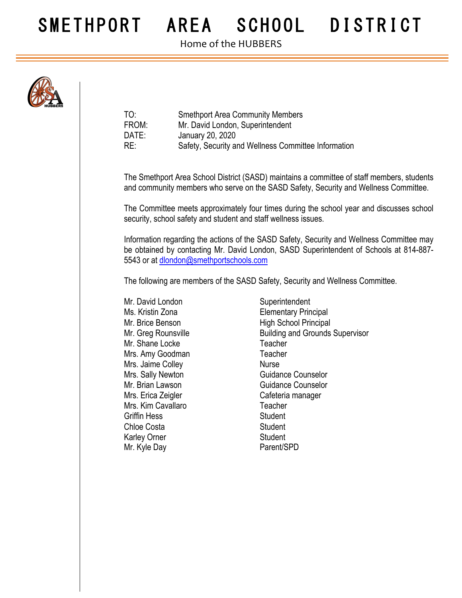## SMETHPORT AREA SCHOOL DISTRICT

Home of the HUBBERS



| TO:   | <b>Smethport Area Community Members</b>             |
|-------|-----------------------------------------------------|
| FROM: | Mr. David London, Superintendent                    |
| DATE: | January 20, 2020                                    |
| RE:   | Safety, Security and Wellness Committee Information |

The Smethport Area School District (SASD) maintains a committee of staff members, students and community members who serve on the SASD Safety, Security and Wellness Committee.

The Committee meets approximately four times during the school year and discusses school security, school safety and student and staff wellness issues.

Information regarding the actions of the SASD Safety, Security and Wellness Committee may be obtained by contacting Mr. David London, SASD Superintendent of Schools at 814-887- 5543 or at dlondon@smethportschools.com

The following are members of the SASD Safety, Security and Wellness Committee.

Mr. David London Superintendent Mr. Shane Locke Teacher Mrs. Amy Goodman Teacher Mrs. Jaime Colley **Nurse** Nurse Mrs. Erica Zeigler **Cafeteria** manager Mrs. Kim Cavallaro **Teacher** Griffin Hess Student Chloe Costa **Student** Karley Orner Student Mr. Kyle Day **Parent/SPD** 

Ms. Kristin Zona Elementary Principal Mr. Brice Benson High School Principal Mr. Greg Rounsville **Building and Grounds Supervisor** Mrs. Sally Newton Guidance Counselor Mr. Brian Lawson Guidance Counselor